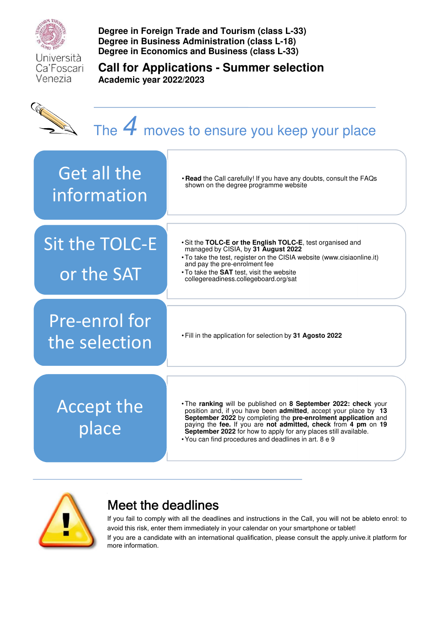

**Degree in Foreign Trade and Tourism (class L-33) Degree in Business Administration (class L-18) Degree in Economics and Business (class L-33)** 

Università Ca'Foscari Venezia

**Call for Applications - Summer selection Academic year 2022/2023** 





# Meet the deadlines

If you fail to comply with all the deadlines and instructions in the Call, you will not be ableto enrol: to avoid this risk, enter them immediately in your calendar on your smartphone or tablet! If you are a candidate with an international qualification, please consult the apply.unive.it platform for more information.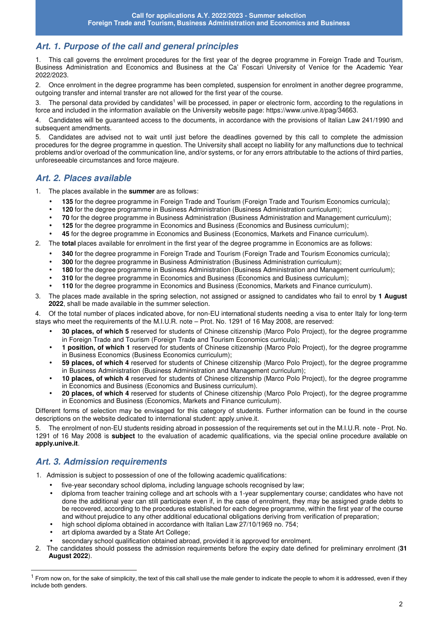# **Art. 1. Purpose of the call and general principles**

1. This call governs the enrolment procedures for the first year of the degree programme in Foreign Trade and Tourism, Business Administration and Economics and Business at the Ca' Foscari University of Venice for the Academic Year 2022/2023.

2. Once enrolment in the degree programme has been completed, suspension for enrolment in another degree programme, outgoing transfer and internal transfer are not allowed for the first year of the course.

3. The personal data provided by candidates<sup>1</sup> will be processed, in paper or electronic form, according to the regulations in force and included in the information available on the University website page: https://www.unive.it/pag/34663.

4. Candidates will be guaranteed access to the documents, in accordance with the provisions of Italian Law 241/1990 and subsequent amendments.

5. Candidates are advised not to wait until just before the deadlines governed by this call to complete the admission procedures for the degree programme in question. The University shall accept no liability for any malfunctions due to technical problems and/or overload of the communication line, and/or systems, or for any errors attributable to the actions of third parties, unforeseeable circumstances and force majeure.

# **Art. 2. Places available**

1. The places available in the **summer** are as follows:

- **135** for the degree programme in Foreign Trade and Tourism (Foreign Trade and Tourism Economics curricula);
- **120** for the degree programme in Business Administration (Business Administration curriculum);
- **70** for the degree programme in Business Administration (Business Administration and Management curriculum);
- **125** for the degree programme in Economics and Business (Economics and Business curriculum);
- **45** for the degree programme in Economics and Business (Economics, Markets and Finance curriculum).
- 2. The **total** places available for enrolment in the first year of the degree programme in Economics are as follows:
	- **340** for the degree programme in Foreign Trade and Tourism (Foreign Trade and Tourism Economics curricula);
	- **300** for the degree programme in Business Administration (Business Administration curriculum);
	- **180** for the degree programme in Business Administration (Business Administration and Management curriculum);
	- **310** for the degree programme in Economics and Business (Economics and Business curriculum);
	- **110** for the degree programme in Economics and Business (Economics, Markets and Finance curriculum).
- 3. The places made available in the spring selection, not assigned or assigned to candidates who fail to enrol by **1 August 2022**, shall be made available in the summer selection.

4. Of the total number of places indicated above, for non-EU international students needing a visa to enter Italy for long-term stays who meet the requirements of the M.I.U.R. note – Prot. No. 1291 of 16 May 2008, are reserved:

- **30 places, of which 5** reserved for students of Chinese citizenship (Marco Polo Project), for the degree programme in Foreign Trade and Tourism (Foreign Trade and Tourism Economics curricula);
- **1 position, of which 1** reserved for students of Chinese citizenship (Marco Polo Project), for the degree programme in Business Economics (Business Economics curriculum);
- **59 places, of which 4** reserved for students of Chinese citizenship (Marco Polo Project), for the degree programme in Business Administration (Business Administration and Management curriculum);
- **10 places, of which 4** reserved for students of Chinese citizenship (Marco Polo Project), for the degree programme in Economics and Business (Economics and Business curriculum).
- **20 places, of which 4** reserved for students of Chinese citizenship (Marco Polo Project), for the degree programme in Economics and Business (Economics, Markets and Finance curriculum).

Different forms of selection may be envisaged for this category of students. Further information can be found in the course descriptions on the website dedicated to international student: apply.unive.it.

5. The enrolment of non-EU students residing abroad in possession of the requirements set out in the M.I.U.R. note - Prot. No. 1291 of 16 May 2008 is **subject** to the evaluation of academic qualifications, via the special online procedure available on **apply.unive.it**.

# **Art. 3. Admission requirements**

 $\overline{a}$ 

- 1. Admission is subject to possession of one of the following academic qualifications:
	- five-year secondary school diploma, including language schools recognised by law;
	- diploma from teacher training college and art schools with a 1-year supplementary course; candidates who have not done the additional year can still participate even if, in the case of enrolment, they may be assigned grade debts to be recovered, according to the procedures established for each degree programme, within the first year of the course and without prejudice to any other additional educational obligations deriving from verification of preparation;
	- high school diploma obtained in accordance with Italian Law 27/10/1969 no. 754;
	- art diploma awarded by a State Art College;
	- secondary school qualification obtained abroad, provided it is approved for enrolment.
- 2. The candidates should possess the admission requirements before the expiry date defined for preliminary enrolment (**31 August 2022**).

 $<sup>1</sup>$  From now on, for the sake of simplicity, the text of this call shall use the male gender to indicate the people to whom it is addressed, even if they</sup> include both genders.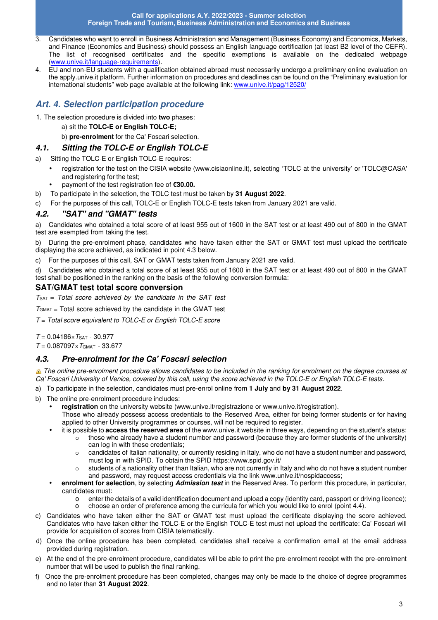- 3. Candidates who want to enroll in Business Administration and Management (Business Economy) and Economics, Markets, and Finance (Economics and Business) should possess an English language certification (at least B2 level of the CEFR). The list of recognised certificates and the specific exemptions is available on the dedicated webpage (www.unive.it/language-requirements).
- 4. EU and non-EU students with a qualification obtained abroad must necessarily undergo a preliminary online evaluation on the apply.unive.it platform. Further information on procedures and deadlines can be found on the "Preliminary evaluation for international students" web page available at the following link: www.unive.it/pag/12520/

# **Art. 4. Selection participation procedure**

- 1. The selection procedure is divided into **two** phases:
	- a) sit the **TOLC-E or English TOLC-E;**
	- b) **pre-enrolment** for the Ca' Foscari selection.

# **4.1. Sitting the TOLC-E or English TOLC-E**

- a) Sitting the TOLC-E or English TOLC-E requires:
	- registration for the test on the CISIA website (www.cisiaonline.it), selecting 'TOLC at the university' or 'TOLC@CASA' and registering for the test;
	- payment of the test registration fee of **€30.00.**
- b) To participate in the selection, the TOLC test must be taken by **31 August 2022**.
- c) For the purposes of this call, TOLC-E or English TOLC-E tests taken from January 2021 are valid.

# **4.2. "SAT" and "GMAT" tests**

a) Candidates who obtained a total score of at least 955 out of 1600 in the SAT test or at least 490 out of 800 in the GMAT test are exempted from taking the test.

b) During the pre-enrolment phase, candidates who have taken either the SAT or GMAT test must upload the certificate displaying the score achieved, as indicated in point 4.3 below.

c) For the purposes of this call, SAT or GMAT tests taken from January 2021 are valid.

d) Candidates who obtained a total score of at least 955 out of 1600 in the SAT test or at least 490 out of 800 in the GMAT test shall be positioned in the ranking on the basis of the following conversion formula:

# **SAT/GMAT test total score conversion**

*T*SAT = *Total score achieved by the candidate in the SAT test*

*T*GMAT = Total score achieved by the candidate in the GMAT test

*T* = *Total score equivalent to TOLC-E or English TOLC-E score* 

*T* = 0.04186×*T*SAT - 30.977

*T* = 0.087097×*T*GMAT - 33.677

# **4.3. Pre-enrolment for the Ca' Foscari selection**

**The online pre-enrolment procedure allows candidates to be included in the ranking for enrolment on the degree courses at** *Ca' Foscari University of Venice, covered by this call, using the score achieved in the TOLC-E or English TOLC-E tests.* 

- a) To participate in the selection, candidates must pre-enrol online from **1 July** and **by 31 August 2022**.
- b) The online pre-enrolment procedure includes:
- **registration** on the university website (www.unive.it/registrazione or www.unive.it/registration).
	- Those who already possess access credentials to the Reserved Area, either for being former students or for having applied to other University programmes or courses, will not be required to register.
	- it is possible to **access the reserved area** of the www.unive.it website in three ways, depending on the student's status:
		- o those who already have a student number and password (because they are former students of the university) can log in with these credentials;
		- o candidates of Italian nationality, or currently residing in Italy, who do not have a student number and password, must log in with SPID. To obtain the SPID https://www.spid.gov.it/
		- o students of a nationality other than Italian, who are not currently in Italy and who do not have a student number and password, may request access credentials via the link www.unive.it/nospidaccess;
	- **enrolment for selection**, by selecting **Admission test** in the Reserved Area. To perform this procedure, in particular, candidates must:
		- o enter the details of a valid identification document and upload a copy (identity card, passport or driving licence); o choose an order of preference among the curricula for which you would like to enrol (point 4.4).
- c) Candidates who have taken either the SAT or GMAT test must upload the certificate displaying the score achieved. Candidates who have taken either the TOLC-E or the English TOLC-E test must not upload the certificate: Ca' Foscari will provide for acquisition of scores from CISIA telematically.
- d) Once the online procedure has been completed, candidates shall receive a confirmation email at the email address provided during registration.
- e) At the end of the pre-enrolment procedure, candidates will be able to print the pre-enrolment receipt with the pre-enrolment number that will be used to publish the final ranking.
- f) Once the pre-enrolment procedure has been completed, changes may only be made to the choice of degree programmes and no later than **31 August 2022**.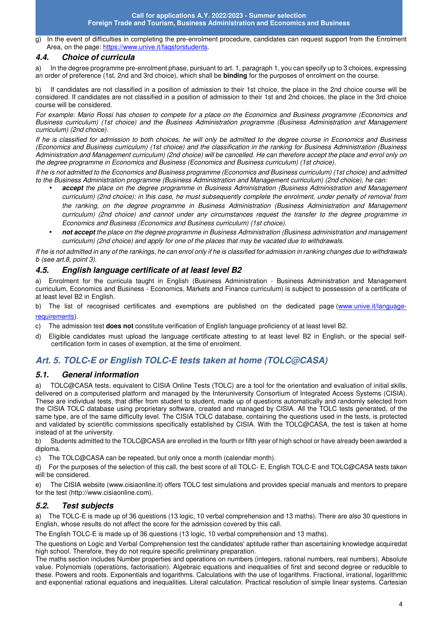g) In the event of difficulties in completing the pre-enrolment procedure, candidates can request support from the Enrolment Area, on the page: https://www.unive.it/faqsforstudents.

# **4.4. Choice of curricula**

a) In the degree programme pre-enrolment phase, pursuant to art. 1, paragraph 1, you can specify up to 3 choices, expressing an order of preference (1st, 2nd and 3rd choice), which shall be **binding** for the purposes of enrolment on the course.

b) If candidates are not classified in a position of admission to their 1st choice, the place in the 2nd choice course will be considered. If candidates are not classified in a position of admission to their 1st and 2nd choices, the place in the 3rd choice course will be considered.

*For example: Mario Rossi has chosen to compete for a place on the Economics and Business programme (Economics and Business curriculum) (1st choice) and the Business Administration programme (Business Administration and Management curriculum) (2nd choice).* 

*If he is classified for admission to both choices, he will only be admitted to the degree course in Economics and Business (Economics and Business curriculum) (1st choice) and the classification in the ranking for Business Administration (Business Administration and Management curriculum) (2nd choice) will be cancelled. He can therefore accept the place and enrol only on the degree programme in Economics and Business (Economics and Business curriculum) (1st choice).* 

*If he is not admitted to the Economics and Business programme (Economics and Business curriculum) (1st choice) and admitted to the Business Administration programme (Business Administration and Management curriculum) (2nd choice), he can:* 

- **accept** *the place on the degree programme in Business Administration (Business Administration and Management curriculum) (2nd choice): in this case, he must subsequently complete the enrolment, under penalty of removal from the ranking, on the degree programme in Business Administration (Business Administration and Management curriculum) (2nd choice) and cannot under any circumstances request the transfer to the degree programme in Economics and Business (Economics and Business curriculum) (1st choice).*
- **not accept** *the place on the degree programme in Business Administration (Business administration and management curriculum) (2nd choice) and apply for one of the places that may be vacated due to withdrawals.*

*If he is not admitted in any of the rankings, he can enrol only if he is classified for admission in ranking changes due to withdrawals b (see art.8, point 3).* 

### **4.5. English language certificate of at least level B2**

a) Enrolment for the curricula taught in English (Business Administration - Business Administration and Management curriculum, Economics and Business - Economics, Markets and Finance curriculum) is subject to possession of a certificate of at least level B2 in English.

b) The list of recognised certificates and exemptions are published on the dedicated page (www.unive.it/languagerequirements).

- c) The admission test **does not** constitute verification of English language proficiency of at least level B2.
- d) Eligible candidates must upload the language certificate attesting to at least level B2 in English, or the special selfcertification form in cases of exemption, at the time of enrolment.

# **Art. 5. TOLC-E or English TOLC-E tests taken at home (TOLC@CASA)**

# **5.1. General information**

a) TOLC@CASA tests, equivalent to CISIA Online Tests (TOLC) are a tool for the orientation and evaluation of initial skills, delivered on a computerised platform and managed by the Interuniversity Consortium of Integrated Access Systems (CISIA). These are individual tests, that differ from student to student, made up of questions automatically and randomly selected from the CISIA TOLC database using proprietary software, created and managed by CISIA. All the TOLC tests generated, of the same type, are of the same difficulty level. The CISIA TOLC database, containing the questions used in the tests, is protected and validated by scientific commissions specifically established by CISIA. With the TOLC@CASA, the test is taken at home instead of at the university.

b) Students admitted to the TOLC@CASA are enrolled in the fourth or fifth year of high school or have already been awarded a diploma.

c) The TOLC@CASA can be repeated, but only once a month (calendar month).

d) For the purposes of the selection of this call, the best score of all TOLC- E, English TOLC-E and TOLC@CASA tests taken will be considered.

e) The CISIA website (www.cisiaonline.it) offers TOLC test simulations and provides special manuals and mentors to prepare for the test (http://www.cisiaonline.com).

# **5.2. Test subjects**

a) The TOLC-E is made up of 36 questions (13 logic, 10 verbal comprehension and 13 maths). There are also 30 questions in English, whose results do not affect the score for the admission covered by this call.

The English TOLC-E is made up of 36 questions (13 logic, 10 verbal comprehension and 13 maths).

The questions on Logic and Verbal Comprehension test the candidates' aptitude rather than ascertaining knowledge acquiredat high school. Therefore, they do not require specific preliminary preparation.

The maths section includes Number properties and operations on numbers (integers, rational numbers, real numbers). Absolute value. Polynomials (operations, factorisation). Algebraic equations and inequalities of first and second degree or reducible to these. Powers and roots. Exponentials and logarithms. Calculations with the use of logarithms. Fractional, irrational, logarithmic and exponential rational equations and inequalities. Literal calculation. Practical resolution of simple linear systems. Cartesian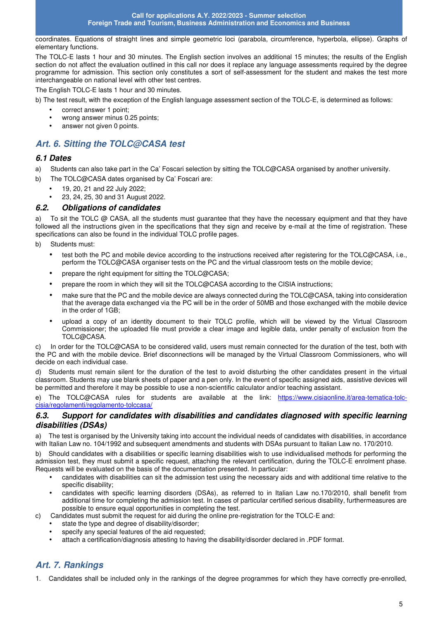coordinates. Equations of straight lines and simple geometric loci (parabola, circumference, hyperbola, ellipse). Graphs of elementary functions.

The TOLC-E lasts 1 hour and 30 minutes. The English section involves an additional 15 minutes; the results of the English section do not affect the evaluation outlined in this call nor does it replace any language assessments required by the degree programme for admission. This section only constitutes a sort of self-assessment for the student and makes the test more interchangeable on national level with other test centres.

The English TOLC-E lasts 1 hour and 30 minutes.

b) The test result, with the exception of the English language assessment section of the TOLC-E, is determined as follows:

- correct answer 1 point;
- wrong answer minus 0.25 points:
- answer not given 0 points.

# **Art. 6. Sitting the TOLC@CASA test**

#### **6.1 Dates**

- a) Students can also take part in the Ca' Foscari selection by sitting the TOLC@CASA organised by another university.
- b) The TOLC@CASA dates organised by Ca' Foscari are:
	- 19, 20, 21 and 22 July 2022;
	- 23, 24, 25, 30 and 31 August 2022.

#### **6.2. Obligations of candidates**

a) To sit the TOLC @ CASA, all the students must guarantee that they have the necessary equipment and that they have followed all the instructions given in the specifications that they sign and receive by e-mail at the time of registration. These specifications can also be found in the individual TOLC profile pages.

b) Students must:

- test both the PC and mobile device according to the instructions received after registering for the TOLC@CASA, i.e., perform the TOLC@CASA organiser tests on the PC and the virtual classroom tests on the mobile device;
- prepare the right equipment for sitting the TOLC@CASA;
- prepare the room in which they will sit the TOLC@CASA according to the CISIA instructions;
- make sure that the PC and the mobile device are always connected during the TOLC@CASA, taking into consideration that the average data exchanged via the PC will be in the order of 50MB and those exchanged with the mobile device in the order of 1GB;
- upload a copy of an identity document to their TOLC profile, which will be viewed by the Virtual Classroom Commissioner; the uploaded file must provide a clear image and legible data, under penalty of exclusion from the TOLC@CASA.

In order for the TOLC@CASA to be considered valid, users must remain connected for the duration of the test, both with the PC and with the mobile device. Brief disconnections will be managed by the Virtual Classroom Commissioners, who will decide on each individual case.

d) Students must remain silent for the duration of the test to avoid disturbing the other candidates present in the virtual classroom. Students may use blank sheets of paper and a pen only. In the event of specific assigned aids, assistive devices will be permitted and therefore it may be possible to use a non-scientific calculator and/or teaching assistant.

e) The TOLC@CASA rules for students are available at the link: https://www.cisiaonline.it/area-tematica-tolccisia/regolamenti/regolamento-tolccasa/

#### **6.3. Support for candidates with disabilities and candidates diagnosed with specific learning disabilities (DSAs)**

a) The test is organised by the University taking into account the individual needs of candidates with disabilities, in accordance with Italian Law no. 104/1992 and subsequent amendments and students with DSAs pursuant to Italian Law no. 170/2010.

b) Should candidates with a disabilities or specific learning disabilities wish to use individualised methods for performing the admission test, they must submit a specific request, attaching the relevant certification, during the TOLC-E enrolment phase. Requests will be evaluated on the basis of the documentation presented. In particular:

- candidates with disabilities can sit the admission test using the necessary aids and with additional time relative to the specific disability;
- candidates with specific learning disorders (DSAs), as referred to in Italian Law no.170/2010, shall benefit from additional time for completing the admission test. In cases of particular certified serious disability, further measures are possible to ensure equal opportunities in completing the test.
- c) Candidates must submit the request for aid during the online pre-registration for the TOLC-E and:
	- state the type and degree of disability/disorder;
	- specify any special features of the aid requested:
	- attach a certification/diagnosis attesting to having the disability/disorder declared in .PDF format.

# **Art. 7. Rankings**

1. Candidates shall be included only in the rankings of the degree programmes for which they have correctly pre-enrolled,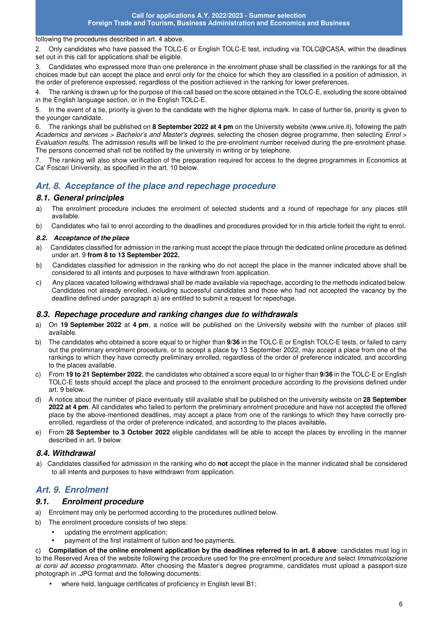#### following the procedures described in art. 4 above.

2. Only candidates who have passed the TOLC-E or English TOLC-E test, including via TOLC@CASA, within the deadlines set out in this call for applications shall be eligible.

3. Candidates who expressed more than one preference in the enrolment phase shall be classified in the rankings for all the choices made but can accept the place and enrol only for the choice for which they are classified in a position of admission, in the order of preference expressed, regardless of the position achieved in the ranking for lower preferences.

4. The ranking is drawn up for the purpose of this call based on the score obtained in the TOLC-E, excluding the score obtained in the English language section, or in the English TOLC-E.

5. In the event of a tie, priority is given to the candidate with the higher diploma mark. In case of further tie, priority is given to the younger candidate.

6. The rankings shall be published on **8 September 2022 at 4 pm** on the University website (www.unive.it), following the path *Academics and services > Bachelor's and Master's degrees,* selecting the chosen degree programme, then selecting *Enrol* > *Evaluation results*. The admission results will be linked to the pre-enrolment number received during the pre-enrolment phase. The persons concerned shall not be notified by the university in writing or by telephone.

7. The ranking will also show verification of the preparation required for access to the degree programmes in Economics at Ca' Foscari University, as specified in the art. 10 below.

# **Art. 8. Acceptance of the place and repechage procedure**

#### **8.1. General principles**

- a) The enrolment procedure includes the enrolment of selected students and a round of repechage for any places still available.
- b) Candidates who fail to enrol according to the deadlines and procedures provided for in this article forfeit the right to enrol.

#### **8.2. Acceptance of the place**

- a) Candidates classified for admission in the ranking must accept the place through the dedicated online procedure as defined under art. 9 **from 8 to 13 September 2022.**
- b) Candidates classified for admission in the ranking who do not accept the place in the manner indicated above shall be considered to all intents and purposes to have withdrawn from application.
- c) Any places vacated following withdrawal shall be made available via repechage, according to the methods indicated below. Candidates not already enrolled, including successful candidates and those who had not accepted the vacancy by the deadline defined under paragraph a) are entitled to submit a request for repechage.

#### **8.3. Repechage procedure and ranking changes due to withdrawals**

- a) On **19 September 2022** at **4 pm**, a notice will be published on the University website with the number of places still available.
- b) The candidates who obtained a score equal to or higher than **9/36** in the TOLC-E or English TOLC-E tests, or failed to carry out the preliminary enrolment procedure, or to accept a place by 13 September 2022, may accept a place from one of the rankings to which they have correctly preliminary enrolled, regardless of the order of preference indicated, and according to the places available.
- c) From **19 to 21 September 2022**, the candidates who obtained a score equal to or higher than **9/36** in the TOLC-E or English TOLC-E tests should accept the place and proceed to the enrolment procedure according to the provisions defined under art. 9 below.
- d) A notice about the number of place eventually still available shall be published on the university website on **28 September 2022 at 4 pm**. All candidates who failed to perform the preliminary enrolment procedure and have not accepted the offered place by the above-mentioned deadlines, may accept a place from one of the rankings to which they have correctly preenrolled, regardless of the order of preference indicated, and according to the places available**.**
- e) From **28 September to 3 October 2022** eligible candidates will be able to accept the places by enrolling in the manner described in art. 9 below.

#### **8.4. Withdrawal**

a) Candidates classified for admission in the ranking who do **not** accept the place in the manner indicated shall be considered to all intents and purposes to have withdrawn from application.

# **Art. 9. Enrolment**

#### **9.1. Enrolment procedure**

- a) Enrolment may only be performed according to the procedures outlined below.
- b) The enrolment procedure consists of two steps:
	- updating the enrolment application;
	- payment of the first instalment of tuition and fee payments.

c) **Compilation of the online enrolment application by the deadlines referred to in art. 8 above**: candidates must log in to the Reserved Area of the website following the procedure used for the pre-enrolment procedure and select *Immatricolazione ai corsi ad accesso programmato*. After choosing the Master's degree programme, candidates must upload a passport-size photograph in .JPG format and the following documents:

• where held, language certificates of proficiency in English level B1;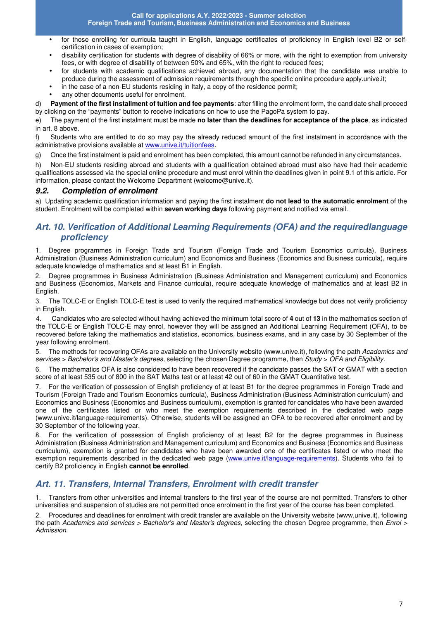- for those enrolling for curricula taught in English, language certificates of proficiency in English level B2 or selfcertification in cases of exemption;
- disability certification for students with degree of disability of 66% or more, with the right to exemption from university fees, or with degree of disability of between 50% and 65%, with the right to reduced fees;
- for students with academic qualifications achieved abroad, any documentation that the candidate was unable to produce during the assessment of admission requirements through the specific online procedure apply.unive.it;
- in the case of a non-EU students residing in Italy, a copy of the residence permit;
- any other documents useful for enrolment.

d) **Payment of the first installment of tuition and fee payments**: after filling the enrolment form, the candidate shall proceed by clicking on the "payments" button to receive indications on how to use the PagoPa system to pay.

e) The payment of the first instalment must be made **no later than the deadlines for acceptance of the place**, as indicated in art. 8 above.

f) Students who are entitled to do so may pay the already reduced amount of the first instalment in accordance with the administrative provisions available at www.unive.it/tuitionfees.

g) Once the first instalment is paid and enrolment has been completed, this amount cannot be refunded in any circumstances.

h) Non-EU students residing abroad and students with a qualification obtained abroad must also have had their academic qualifications assessed via the special online procedure and must enrol within the deadlines given in point 9.1 of this article. For information, please contact the Welcome Department (welcome@unive.it).

#### **9.2. Completion of enrolment**

a) Updating academic qualification information and paying the first instalment **do not lead to the automatic enrolment** of the student. Enrolment will be completed within **seven working days** following payment and notified via email.

# **Art. 10. Verification of Additional Learning Requirements (OFA) and the required language proficiency**

1. Degree programmes in Foreign Trade and Tourism (Foreign Trade and Tourism Economics curricula), Business Administration (Business Administration curriculum) and Economics and Business (Economics and Business curricula), require adequate knowledge of mathematics and at least B1 in English.

2. Degree programmes in Business Administration (Business Administration and Management curriculum) and Economics and Business (Economics, Markets and Finance curricula), require adequate knowledge of mathematics and at least B2 in English.

3. The TOLC-E or English TOLC-E test is used to verify the required mathematical knowledge but does not verify proficiency in English.

4. Candidates who are selected without having achieved the minimum total score of **4** out of **13** in the mathematics section of the TOLC-E or English TOLC-E may enrol, however they will be assigned an Additional Learning Requirement (OFA), to be recovered before taking the mathematics and statistics, economics, business exams, and in any case by 30 September of the year following enrolment.

5. The methods for recovering OFAs are available on the University website (www.unive.it), following the path *Academics and services > Bachelor's and Master's degrees,* selecting the chosen Degree programme, then *Study* > *OFA and Eligibility.* 

6. The mathematics OFA is also considered to have been recovered if the candidate passes the SAT or GMAT with a section score of at least 535 out of 800 in the SAT Maths test or at least 42 out of 60 in the GMAT Quantitative test*.* 

7. For the verification of possession of English proficiency of at least B1 for the degree programmes in Foreign Trade and Tourism (Foreign Trade and Tourism Economics curricula), Business Administration (Business Administration curriculum) and Economics and Business (Economics and Business curriculum), exemption is granted for candidates who have been awarded one of the certificates listed or who meet the exemption requirements described in the dedicated web page (www.unive.it/language-requirements). Otherwise, students will be assigned an OFA to be recovered after enrolment and by 30 September of the following year.

8. For the verification of possession of English proficiency of at least B2 for the degree programmes in Business Administration (Business Administration and Management curriculum) and Economics and Business (Economics and Business curriculum), exemption is granted for candidates who have been awarded one of the certificates listed or who meet the exemption requirements described in the dedicated web page (www.unive.it/language-requirements). Students who fail to certify B2 proficiency in English **cannot be enrolled**.

# **Art. 11. Transfers, Internal Transfers, Enrolment with credit transfer**

1. Transfers from other universities and internal transfers to the first year of the course are not permitted. Transfers to other universities and suspension of studies are not permitted once enrolment in the first year of the course has been completed.

2. Procedures and deadlines for enrolment with credit transfer are available on the University website (www.unive.it), following the path *Academics and services > Bachelor's and Master's degrees,* selecting the chosen Degree programme, then *Enrol > Admission*.